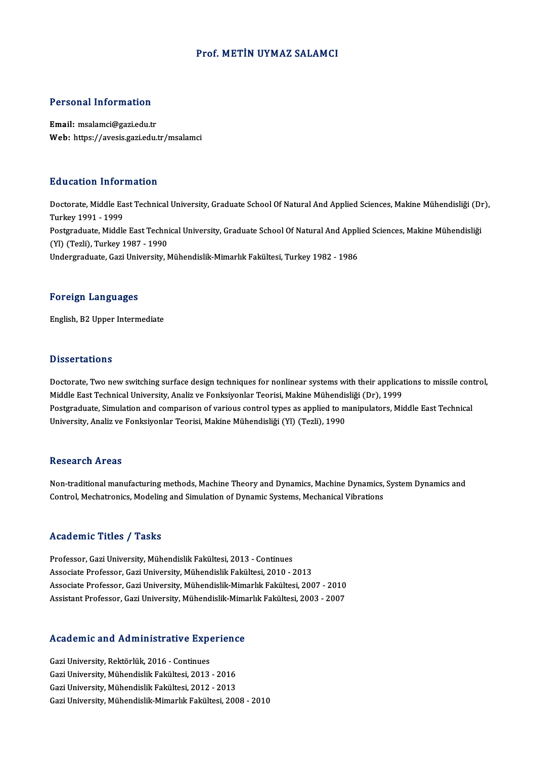#### Prof.METİN UYMAZ SALAMCI

#### Personal Information

Email: msalamci@gazi.edu.tr Web: https://avesis.gazi.edu.tr/msalamci

#### Education Information

**Education Information**<br>Doctorate, Middle East Technical University, Graduate School Of Natural And Applied Sciences, Makine Mühendisliği (Dr),<br>Turkey 1991, 1999 nd decader 11101<br>Doctorate, Middle Ea<br>Turkey 1991 - 1999<br>Bostareduate, Middle Doctorate, Middle East Technical University, Graduate School Of Natural And Applied Sciences, Makine Mühendisliği (Di<br>Turkey 1991 - 1999<br>Postgraduate, Middle East Technical University, Graduate School Of Natural And Applie Turkey 1991 - 1999<br>Postgraduate, Middle East Techni<br>(Yl) (Tezli), Turkey 1987 - 1990<br>Undergraduate Cari University M Postgraduate, Middle East Technical University, Graduate School Of Natural And Appli<br>(Yl) (Tezli), Turkey 1987 - 1990<br>Undergraduate, Gazi University, Mühendislik-Mimarlık Fakültesi, Turkey 1982 - 1986 Undergraduate, Gazi University, Mühendislik-Mimarlık Fakültesi, Turkey 1982 - 1986<br>Foreign Languages

English,B2Upper Intermediate

#### **Dissertations**

Doctorate, Two new switching surface design techniques for nonlinear systems with their applications to missile control, Misser carrensi<br>Doctorate, Two new switching surface design techniques for nonlinear systems with their applicat<br>Middle East Technical University, Analiz ve Fonksiyonlar Teorisi, Makine Mühendisliği (Dr), 1999<br>Postsraduate Postgraduate, Simulation and comparison of various control types as applied to manipulators, Middle East Technical<br>University, Analiz ve Fonksiyonlar Teorisi, Makine Mühendisliği (Yl) (Tezli), 1990 Middle East Technical University, Analiz ve Fonksiyonlar Teorisi, Makine Mühendis<br>Postgraduate, Simulation and comparison of various control types as applied to m<br>University, Analiz ve Fonksiyonlar Teorisi, Makine Mühendis

#### Research Areas

Research Areas<br>Non-traditional manufacturing methods, Machine Theory and Dynamics, Machine Dynamics, System Dynamics and<br>Central Machatronics Madeling and Simulation of Dynamic Systems Machanical Vibrations rcoocur on 111 cas<br>Non-traditional manufacturing methods, Machine Theory and Dynamics, Machine Dynamics,<br>Control, Mechatronics, Modeling and Simulation of Dynamic Systems, Mechanical Vibrations Control, Mechatronics, Modeling and Simulation of Dynamic Systems, Mechanical Vibrations<br>Academic Titles / Tasks

Professor, Gazi University, Mühendislik Fakültesi, 2013 - Continues Associate Professor, Gazi University, Mühendislik Fakültesi, 2010 - 2013 Professor, Gazi University, Mühendislik Fakültesi, 2013 - Continues<br>Associate Professor, Gazi University, Mühendislik-Mimarlık Fakültesi, 2007 - 2010<br>Associate Professor, Gazi University, Mühendislik-Mimarlık Fakültesi, 20 Associate Professor, Gazi University, Mühendislik Fakültesi, 2010 - 2013<br>Associate Professor, Gazi University, Mühendislik-Mimarlık Fakültesi, 2007 - 2010<br>Assistant Professor, Gazi University, Mühendislik-Mimarlık Fakültes

# Assistant Professor, Gazi University, Munendislik-Mima<br>Academic and Administrative Experience

Academic and Administrative Exp<br>Gazi University, Rektörlük, 2016 - Continues<br>Cari University, Mühandialik Fakültesi, 2012 Gazi University, Rektörlük, 2016 - Continues<br>Gazi University, Rektörlük, 2016 - Continues<br>Gazi University, Mühendislik Fakültesi, 2013 - 2016 Gazi University, Rektörlük, 2016 - Continues<br>Gazi University, Mühendislik Fakültesi, 2013 - 2016<br>Gazi University, Mühendislik Fakültesi, 2012 - 2013<br>Cari University, Mühendislik Mimerlik Fakültesi, 200 Gazi University, Mühendislik Fakültesi, 2012 - 2013<br>Gazi University, Mühendislik-Mimarlık Fakültesi, 2008 - 2010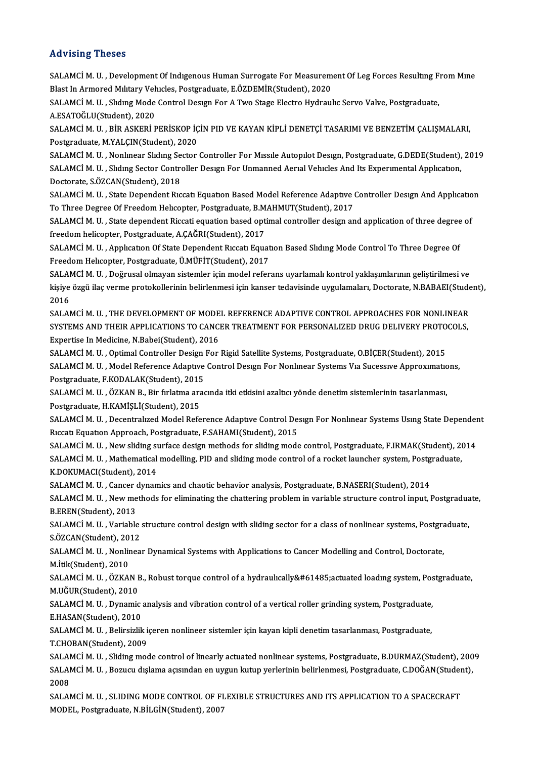### Advising Theses

Advising Theses<br>SALAMCİM. U. , Development Of Indıgenous Human Surrogate For Measurement Of Leg Forces Resulting From Mine<br>Plast In Armored Military Vehicles, Bostaraduate, E ÖZDEMİR (Student), 2020 114 vering 1116868<br>SALAMCİ M. U. , Development Of Indigenous Human Surrogate For Measurem<br>Blast In Armored Military Vehicles, Postgraduate, E.ÖZDEMİR(Student), 2020<br>SALAMCİ M. U., Skding Mode Control Design For A Tije Stag SALAMCİ M. U. , Development Of Indigenous Human Surrogate For Measurement Of Leg Forces Resulting F<br>Blast In Armored Military Vehicles, Postgraduate, E.ÖZDEMİR(Student), 2020<br>SALAMCİ M. U. , Slıdıng Mode Control Design For

Blast In Armored Military Veh<br>SALAMCİ M. U. , Slıdıng Mode<br>A.ESATOĞLU(Student), 2020<br>SALAMCİ M. U. , BİR ASKERİ E SALAMCİ M. U. , Slıdıng Mode Control Design For A Two Stage Electro Hydraulic Servo Valve, Postgraduate,<br>A.ESATOĞLU(Student), 2020<br>SALAMCİ M. U. , BİR ASKERİ PERİSKOP İÇİN PID VE KAYAN KİPLİ DENETÇİ TASARIMI VE BENZETİM ÇA

A.ESATOĞLU(Student), 2020<br>SALAMCİ M. U. , BİR ASKERİ PERİSKOP İÇİN PID VE KAYAN KİPLİ DENETÇİ TASARIMI VE BENZETİM ÇALIŞMALARI,<br>Postgraduate, M.YALÇIN(Student), 2020 SALAMCİ M. U. , BİR ASKERİ PERİSKOP İÇİN PID VE KAYAN KİPLİ DENETÇİ TASARIMI VE BENZETİM ÇALIŞMALARI,<br>Postgraduate, M.YALÇIN(Student), 2020<br>SALAMCİ M. U. , Nonlınear Slıdıng Sector Controller For Mıssıle Autopılot Desıgn,

Postgraduate, M.YALÇIN(Student), 2020<br>SALAMCİ M. U. , Nonlmear Slıdıng Sector Controller For Mıssıle Autopılot Desıgn, Postgraduate, G.DEDE(Student),<br>SALAMCİ M. U. , Slıdıng Sector Controller Desıgn For Unmanned Aerıal Veh SALAMCİ M. U. , Nonlmear Slıdıng Se<br>SALAMCİ M. U. , Slıdıng Sector Contre<br>Doctorate, S.ÖZCAN(Student), 2018<br>SALAMCİ M. U. , State Dependent Bra SALAMCİM. U. , Shding Sector Controller Design For Unmanned Aerial Vehicles And Its Experimental Application,<br>Doctorate, S.ÖZCAN(Student), 2018<br>SALAMCİM. U. , State Dependent Riccati Equation Based Model Reference Adaptive

SALAMCİ M. U., State Dependent Riccati Equation Based Model Reference Adaptive Controller Design And Application SALAMCİM. U. , State Dependent Riccati Equation Based Model Reference Adaptive Controller Design And Applicatio<br>To Three Degree Of Freedom Helicopter, Postgraduate, B.MAHMUT(Student), 2017<br>SALAMCİM. U. , State dependent Ri

To Three Degree Of Freedom Helicopter, Postgraduate, B.M<br>SALAMCİ M. U. , State dependent Riccati equation based opt<br>freedom helicopter, Postgraduate, A.ÇAĞRI(Student), 2017<br>SALAMCİ M. U. , Application Of State Dependent Bi SALAMCİM. U. , State dependent Riccati equation based optimal controller design and application of three degree<br>freedom helicopter, Postgraduate, A.ÇAĞRI(Student), 2017<br>SALAMCİM. U. , Application Of State Dependent Riccati

freedom helicopter, Postgraduate, A.ÇAĞRI(Student), 2017<br>SALAMCİ M. U. , Application Of State Dependent Riccati Equation Based Sliding Mode Control To Three Degree Of<br>Freedom Helicopter, Postgraduate, Ü.MÜFİT(Student), 201 SALAMCİ M. U. , Applıcatıon Of State Dependent Rıccatı Equation Based Sliding Mode Control To Three Degree Of<br>Freedom Helicopter, Postgraduate, Ü.MÜFİT(Student), 2017<br>SALAMCİ M. U. , Doğrusal olmayan sistemler için model r

Freedom Helıcopter, Postgraduate, Ü.MÜFİT(Student), 2017<br>SALAMCİ M. U. , Doğrusal olmayan sistemler için model referans uyarlamalı kontrol yaklaşımlarının geliştirilmesi ve<br>kişiye özgü ilaç verme protokollerinin belirlenme SALAI<br>kişiye<br>2016<br>SALAI kişiye özgü ilaç verme protokollerinin belirlenmesi için kanser tedavisinde uygulamaları, Doctorate, N.BABAEI(Student),<br>2016<br>SALAMCİ M. U. . THE DEVELOPMENT OF MODEL REFERENCE ADAPTIVE CONTROL APPROACHES FOR NONLINEAR

2016<br>SALAMCİ M. U. , THE DEVELOPMENT OF MODEL REFERENCE ADAPTIVE CONTROL APPROACHES FOR NONLINEAR<br>SYSTEMS AND THEIR APPLICATIONS TO CANCER TREATMENT FOR PERSONALIZED DRUG DELIVERY PROTOCOLS,<br>Evpertise In Medisine N Bebei(S SALAMCİ M. U. , THE DEVELOPMENT OF MODE<br>SYSTEMS AND THEIR APPLICATIONS TO CANC<br>Expertise In Medicine, N.Babei(Student), 2016<br>SALAMC<sup>I</sup> M. U. Optimal Cantrallar Design For SYSTEMS AND THEIR APPLICATIONS TO CANCER TREATMENT FOR PERSONALIZED DRUG DELIVERY PROTO<br>Expertise In Medicine, N.Babei(Student), 2016<br>SALAMCİ M. U. , Optimal Controller Design For Rigid Satellite Systems, Postgraduate, O.B

Expertise In Medicine, N.Babei(Student), 2016<br>SALAMCİ M. U. , Optimal Controller Design For Rigid Satellite Systems, Postgraduate, O.BİÇER(Student), 2015<br>SALAMCİ M. U. , Model Reference Adaptive Control Design For Nonlinea Postgraduate,F.KODALAK(Student),2015 SALAMCİ M. U. , Model Reference Adaptive Control Design For Nonlinear Systems Via Sucessive Approximatic<br>Postgraduate, F.KODALAK(Student), 2015<br>SALAMCİ M. U. , ÖZKAN B., Bir fırlatma aracında itki etkisini azaltıcı yönde d

Postgraduate, F.KODALAK(Student), 2015<br>SALAMCİ M. U. , ÖZKAN B., Bir fırlatma ara<br>Postgraduate, H.KAMİŞLİ(Student), 2015<br>SALAMCİ M. U. , Decentralızed Medal Befa SALAMCİ M. U. , ÖZKAN B., Bir fırlatma aracında itki etkisini azaltıcı yönde denetim sistemlerinin tasarlanması,<br>Postgraduate, H.KAMİŞLİ(Student), 2015<br>SALAMCİ M. U. , Decentralızed Model Reference Adaptıve Control Desıgn

Postgraduate, H.KAMİŞLİ(Student), 2015<br>SALAMCİ M. U. , Decentralızed Model Reference Adaptıve Control De:<br>Rıccatı Equatıon Approach, Postgraduate, F.SAHAMI(Student), 2015<br>SALAMCİ M. U. New sliding surfase design methode fo SALAMCİ M. U. , Decentralızed Model Reference Adaptive Control Design For Nonlinear Systems Using State Depender<br>Riccati Equation Approach, Postgraduate, F.SAHAMI(Student), 2015<br>SALAMCİ M. U. , New sliding surface design m

Riccati Equation Approach, Postgraduate, F.SAHAMI(Student), 2015<br>SALAMCİ M. U. , New sliding surface design methods for sliding mode control, Postgraduate, F.IRMAK(Student), 2<br>SALAMCİ M. U. , Mathematical modelling, PID an SALAMCİ M. U. , New sliding sı<br>SALAMCİ M. U. , Mathematical<br>K.DOKUMACI(Student), 2014<br>SALAMCİ M. U. , Cangar dunan SALAMCİM. U. , Mathematical modelling, PID and sliding mode control of a rocket launcher system, Postg<br>K.DOKUMACI(Student), 2014<br>SALAMCİM. U. , Cancer dynamics and chaotic behavior analysis, Postgraduate, B.NASERI(Student) K.DOKUMACI(Student), 2014<br>SALAMCİ M. U. , Cancer dynamics and chaotic behavior analysis, Postgraduate, B.NASERI(Student), 2014<br>SALAMCİ M. U. , New methods for eliminating the chattering problem in variable structure contro

B.EREN(Student),2013 SALAMCİM. U. , New methods for eliminating the chattering problem in variable structure control input, Postgradua<br>B.EREN(Student), 2013<br>SALAMCİM. U. , Variable structure control design with sliding sector for a class of no

B.EREN(Student), 2013<br>SALAMCİ M. U. , Variable<br>S.ÖZCAN(Student), 2012<br>SALAMCİ M. U. , Naplinas SALAMCİM. U. , Variable structure control design with sliding sector for a class of nonlinear systems, Postgra<br>S.ÖZCAN(Student), 2012<br>SALAMCİM. U. , Nonlinear Dynamical Systems with Applications to Cancer Modelling and Con

S.ÖZCAN(Student), 2012<br>SALAMCİ M. U. , Nonlinear Dynamical Systems with Applications to Cancer Modelling and Control, Doctorate,<br>M.İtik(Student), 2010 SALAMCİ M. U. , Nonlinear Dynamical Systems with Applications to Cancer Modelling and Control, Doctorate,<br>M.İtik(Student), 2010<br>SALAMCİ M. U. , ÖZKAN B., Robust torque control of a hydraulıcally&#61485;actuated loadıng sys

M.İtik(Student), 2010<br>SALAMCİ M. U. , ÖZKAN I<br>M.UĞUR(Student), 2010<br>SALAMCİ M. II. , Dymamia SALAMCİM. U. , ÖZKAN B., Robust torque control of a hydraulıcallyactuated loadıng system, Pos<br>M.UĞUR(Student), 2010<br>SALAMCİM. U. , Dynamic analysis and vibration control of a vertical roller grinding system, Postgr

M.UĞUR(Student), 2010<br>SALAMCİ M. U. , Dynamic analysis and vibration control of a vertical roller grinding system, Postgraduate,<br>E.HASAN(Student). 2010 SALAMCİM. U. , Dynamic analysis and vibration control of a vertical roller grinding system, Postgraduate,<br>E.HASAN(Student), 2010<br>SALAMCİM. U. , Belirsizlik içeren nonlineer sistemler için kayan kipli denetim tasarlanması,

E.HASAN(Student), 2010<br>SALAMCİ M. U. , Belirsizlik i<br>T.CHOBAN(Student), 2009<br>SALAMCİ M. U. Sliding moc SALAMCİM. U. , Belirsizlik içeren nonlineer sistemler için kayan kipli denetim tasarlanması, Postgraduate,<br>T.CHOBAN(Student), 2009<br>SALAMCİM. U. , Sliding mode control of linearly actuated nonlinear systems, Postgraduate, B

T.CHOBAN(Student), 2009<br>SALAMCİ M. U. , Sliding mode control of linearly actuated nonlinear systems, Postgraduate, B.DURMAZ(Student), 200<br>SALAMCİ M. U. , Bozucu dışlama açısından en uygun kutup yerlerinin belirlenmesi, Pos SALAN<br>SALAN<br>2008<br>SALAN SALAMCİ M. U. , Bozucu dışlama açısından en uygun kutup yerlerinin belirlenmesi, Postgraduate, C.DOĞAN(Student),<br>2008<br>SALAMCİ M. U. . SLIDING MODE CONTROL OF FLEXIBLE STRUCTURES AND ITS APPLICATION TO A SPACECRAFT

MODEL, Postgraduate, N.BİLGİN(Student), 2007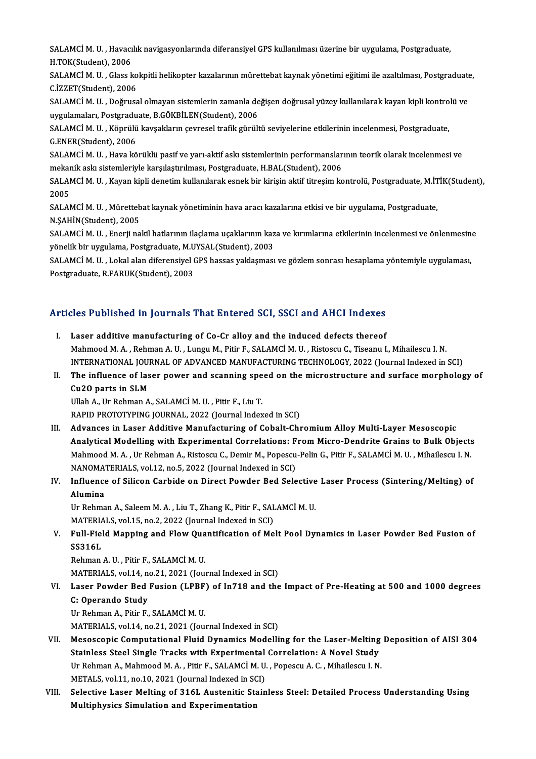SALAMCİ M. U. , Havacılık navigasyonlarında diferansiyel GPS kullanılması üzerine bir uygulama, Postgraduate,<br>H.TOK(Student), 2006 SALAMCİ M. U. , Havacı<br>H.TOK(Student), 2006<br>SALAMCİ M. U., Clasa lı SALAMCİM. U. , Havacılık navigasyonlarında diferansiyel GPS kullanılması üzerine bir uygulama, Postgraduate,<br>H.TOK(Student), 2006<br>SALAMCİM. U. , Glass kokpitli helikopter kazalarının mürettebat kaynak yönetimi eğitimi ile

H.TOK(Student), 2006<br>SALAMCİ M. U. , Glass ko<br>C.İZZET(Student), 2006<br>SALAMCİ M. U. , Doğruss SALAMCİ M. U. , Glass kokpitli helikopter kazalarının mürettebat kaynak yönetimi eğitimi ile azaltılması, Postgraduate<br>C.İZZET(Student), 2006<br>SALAMCİ M. U. , Doğrusal olmayan sistemlerin zamanla değişen doğrusal yüzey kull

C.İZZET(Student), 2006<br>SALAMCİ M. U. , Doğrusal olmayan sistemlerin zamanla değişen doğrusal yüzey kullanılarak kayan kipli kontrolü ve<br>uygulamaları, Postgraduate, B.GÖKBİLEN(Student), 2006 SALAMCİ M. U. , Doğrusal olmayan sistemlerin zamanla değişen doğrusal yüzey kullanılarak kayan kipli kontro<br>uygulamaları, Postgraduate, B.GÖKBİLEN(Student), 2006<br>SALAMCİ M. U. , Köprülü kavşakların çevresel trafik gürültü

uygulamaları, Postgradu<br>SALAMCİ M. U. , Köprülü<br>G.ENER(Student), 2006<br>SALAMCİ M. U. Hava kö SALAMCİM. U. , Köprülü kavşakların çevresel trafik gürültü seviyelerine etkilerinin incelenmesi, Postgraduate,<br>G.ENER(Student), 2006<br>SALAMCİM. U. , Hava körüklü pasif ve yarı-aktif askı sistemlerinin performanslarının teor

G.ENER(Student), 2006<br>SALAMCİ M. U. , Hava körüklü pasif ve yarı-aktif askı sistemlerinin performanslar<br>mekanik askı sistemleriyle karşılaştırılması, Postgraduate, H.BAL(Student), 2006<br>SALAMCİ M. U. , Kayan kipli denetim k mekanik askı sistemleriyle karşılaştırılması, Postgraduate, H.BAL(Student), 2006

SALAMCİ M. U. , Kayan kipli denetim kullanılarak esnek bir kirişin aktif titreşim kontrolü, Postgraduate, M.İTİK(Student),<br>2005

SALAMCİM. U., Mürettebat kaynak yönetiminin hava aracı kazalarına etkisi ve bir uygulama, Postgraduate, N.ŞAHİN(Student),2005 SALAMCİ M. U. , Mürettebat kaynak yönetiminin hava aracı kazalarına etkisi ve bir uygulama, Postgraduate,<br>N.ŞAHİN(Student), 2005<br>SALAMCİ M. U. , Enerji nakil hatlarının ilaçlama uçaklarının kaza ve kırımlarına etkilerinin

N.ŞAHİN(Student), 2005<br>SALAMCİ M. U. , Enerji nakil hatlarının ilaçlama uçaklarının kaz<br>yönelik bir uygulama, Postgraduate, M.UYSAL(Student), 2003<br>SALAMCİ M. U. Jakal alan diferensiyal GBS hassas vaklasması SALAMCİ M. U. , Enerji nakil hatlarının ilaçlama uçaklarının kaza ve kırımlarına etkilerinin incelenmesi ve önlenmesin<br>yönelik bir uygulama, Postgraduate, M.UYSAL(Student), 2003<br>SALAMCİ M. U. , Lokal alan diferensiyel GPS

yönelik bir uygulama, Postgraduate, M.UYSAL(Student), 2003<br>SALAMCİ M. U. , Lokal alan diferensiyel GPS hassas yaklaşması ve gözlem sonrası hesaplama yöntemiyle uygulaması,<br>Postgraduate, R.FARUK(Student), 2003

### Articles Published in Journals That Entered SCI, SSCI and AHCI Indexes

- I. Laser additive manufacturing of Co-Cr alloy and the induced defects thereof Mahmood M.A., Rehman A.U., Lungu M., Pitir F., SALAMCİ M. U., Ristoscu C., Tiseanu I., Mihailescu I.N. Laser additive manufacturing of Co-Cr alloy and the induced defects thereof<br>Mahmood M. A. , Rehman A. U. , Lungu M., Pitir F., SALAMCİ M. U. , Ristoscu C., Tiseanu I., Mihailescu I. N.<br>INTERNATIONAL JOURNAL OF ADVANCED MAN Mahmood M. A. , Rehman A. U. , Lungu M., Pitir F., SALAMCİ M. U. , Ristoscu C., Tiseanu I., Mihailescu I. N.<br>INTERNATIONAL JOURNAL OF ADVANCED MANUFACTURING TECHNOLOGY, 2022 (Journal Indexed in SCI)<br>II. The influence of la
- INTERNATIONAL JOUI<br>The influence of las<br>Cu2O parts in SLM<br><sup>Illiab</sup> A. Ur Bebren A The influence of laser power and scanning spe<br>Cu2O parts in SLM<br>Ullah A., Ur Rehman A., SALAMCİM.U. , Pitir F., Liu T.<br>RAPID PROTOTYPINC JOURNAL 2022 (Journal Indon Cu2O parts in SLM<br>Ullah A., Ur Rehman A., SALAMCİ M. U. , Pitir F., Liu T.<br>RAPID PROTOTYPING JOURNAL, 2022 (Journal Indexed in SCI)

Ullah A., Ur Rehman A., SALAMCİ M. U. , Pitir F., Liu T.<br>RAPID PROTOTYPING JOURNAL, 2022 (Journal Indexed in SCI)<br>III. Advances in Laser Additive Manufacturing of Cobalt-Chromium Alloy Multi-Layer Mesoscopic<br>Analytical Mod RAPID PROTOTYPING JOURNAL, 2022 (Journal Indexed in SCI)<br>Advances in Laser Additive Manufacturing of Cobalt-Chromium Alloy Multi-Layer Mesoscopic<br>Analytical Modelling with Experimental Correlations: From Micro-Dendrite Gra Advances in Laser Additive Manufacturing of Cobalt-Chromium Alloy Multi-Layer Mesoscopic<br>Analytical Modelling with Experimental Correlations: From Micro-Dendrite Grains to Bulk Objects<br>Mahmood M. A. , Ur Rehman A., Ristosc Analytical Modelling with Experimental Correlations: From Micro-Dendrite Grains to Bulk Objects<br>Mahmood M. A. , Ur Rehman A., Ristoscu C., Demir M., Popescu-Pelin G., Pitir F., SALAMCI M. U. , Mihailescu I. N.<br>NANOMATERIAL Mahmood M. A., Ur Rehman A., Ristoscu C., Demir M., Popescu-Pelin G., Pitir F., SALAMCİ M. U., Mihailescu I. N.<br>NANOMATERIALS, vol.12, no.5, 2022 (Journal Indexed in SCI)<br>IV. Influence of Silicon Carbide on Direct Powder B

## NANOMA<br>Influence<br>Alumina<br><sup>IIn Rohmo</sup> Influence of Silicon Carbide on Direct Powder Bed Selective<br>Alumina<br>Ur Rehman A., Saleem M. A. , Liu T., Zhang K., Pitir F., SALAMCİ M. U.<br>MATEPIALS vol 15. no 2.2022 (Journal Indoved in SCI)

Alumina<br>Ur Rehman A., Saleem M. A. , Liu T., Zhang K., Pitir F., SALAMCİ M. U.<br>MATERIALS, vol.15, no.2, 2022 (Journal Indexed in SCI)

### Ur Rehman A., Saleem M. A. , Liu T., Zhang K., Pitir F., SALAMCİ M. U.<br>MATERIALS, vol.15, no.2, 2022 (Journal Indexed in SCI)<br>V. Full-Field Mapping and Flow Quantification of Melt Pool Dynamics in Laser Powder Bed Fusio MATERIA<br>Full-Fiel<br>SS316L<br><sup>Rohman</sup> Full-Field Mapping and Flow Qua<br>SS316L<br>Rehman A.U., Pitir F., SALAMCİM.U.<br>MATEPIALS vol 14 no 21 2021 (Jour SS316L<br>Rehman A. U. , Pitir F., SALAMCİ M. U.<br>MATERIALS, vol.14, no.21, 2021 (Journal Indexed in SCI)<br>Laser Bourler Bed Eusian (LBBE) of In719 and the

Rehman A. U. , Pitir F., SALAMCİ M. U.<br>MATERIALS, vol.14, no.21, 2021 (Journal Indexed in SCI)<br>VI. Laser Powder Bed Fusion (LPBF) of In718 and the Impact of Pre-Heating at 500 and 1000 degrees<br>C. Operande Study MATERIALS, vol.14, no<br>Laser Powder Bed<br>C: Operando Study<br><sup>Lin Rohmon A, Bitin F</sup> Laser Powder Bed Fusion (LPBF)<br>C: Operando Study<br>Ur Rehman A., Pitir F., SALAMCİM. U.<br>MATEPIALS vol 14 no 21 2021 (Jour C: Operando Study<br>Ur Rehman A., Pitir F., SALAMCİ M. U.<br>MATERIALS, vol.14, no.21, 2021 (Journal Indexed in SCI)

- Ur Rehman A., Pitir F., SALAMCİ M. U.<br>MATERIALS, vol.14, no.21, 2021 (Journal Indexed in SCI)<br>VII. Mesoscopic Computational Fluid Dynamics Modelling for the Laser-Melting Deposition of AISI 304<br>Stainless Steel Single Treek MATERIALS, vol.14, no.21, 2021 (Journal Indexed in SCI)<br>Mesoscopic Computational Fluid Dynamics Modelling for the Laser-Melting<br>Stainless Steel Single Tracks with Experimental Correlation: A Novel Study<br>In Rehman A. Mahmoo Mesoscopic Computational Fluid Dynamics Modelling for the Laser-Melting<br>Stainless Steel Single Tracks with Experimental Correlation: A Novel Study<br>Ur Rehman A., Mahmood M. A. , Pitir F., SALAMCİM. U. , Popescu A. C. , Miha Stainless Steel Single Tracks with Experimental Correlation: A Novel Study<br>Ur Rehman A., Mahmood M. A., Pitir F., SALAMCI M. U., Popescu A. C., Mihailescu I. N. METALS, vol.11, no.10, 2021 (Journal Indexed in SCI)
- VIII. Selective Laser Melting of 316L Austenitic Stainless Steel: Detailed Process Understanding Using<br>Multiphysics Simulation and Experimentation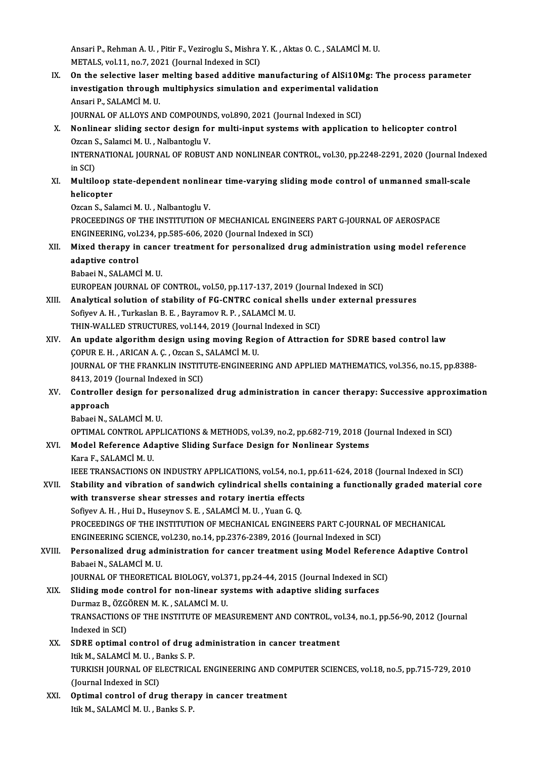Ansari P., Rehman A. U. , Pitir F., Veziroglu S., Mishra Y. K. , Aktas O. C. , SALAMCİ M. U.<br>METALS. vol.11, no.7, 2021 (Journal Indoved in SC) Ansari P., Rehman A. U. , Pitir F., Veziroglu S., Mishra<br>METALS, vol.11, no.7, 2021 (Journal Indexed in SCI)<br>On the selective laser melting based edditive n

METALS, vol.11, no.7, 2021 (Journal Indexed in SCI)<br>IX. On the selective laser melting based additive manufacturing of AlSi10Mg: The process parameter METALS, vol.11, no.7, 2021 (Journal Indexed in SCI)<br>On the selective laser melting based additive manufacturing of AlSi10Mg: T<br>investigation through multiphysics simulation and experimental validation<br>Apeari B, SALAMCI M, On the selective laser<br>investigation through<br>Ansari P., SALAMCİ M. U.<br>JOUPNAL OF ALLOVS AN investigation through multiphysics simulation and experimental validat<br>Ansari P., SALAMCİ M. U.<br>JOURNAL OF ALLOYS AND COMPOUNDS, vol.890, 2021 (Journal Indexed in SCI)<br>Nonlinear sliding sector decisn for multi-innut system

- Ansari P., SALAMCİ M. U.<br>JOURNAL OF ALLOYS AND COMPOUNDS, vol.890, 2021 (Journal Indexed in SCI)<br>X. Nonlinear sliding sector design for multi-input systems with application to helicopter control<br>Qzean S. Salamci M. H. Nalb **JOURNAL OF ALLOYS AND COMPOUNE<br>Nonlinear sliding sector design fo<br>Ozcan S., Salamci M. U. , Nalbantoglu V.<br>INTERNATIONAL JOURNAL OF BORUS** Nonlinear sliding sector design for multi-input systems with application to helicopter control<br>Ozcan S., Salamci M. U. , Nalbantoglu V.<br>INTERNATIONAL JOURNAL OF ROBUST AND NONLINEAR CONTROL, vol.30, pp.2248-2291, 2020 (Jou Ozcan S<br>INTERN<br>in SCI)<br>Multik INTERNATIONAL JOURNAL OF ROBUST AND NONLINEAR CONTROL, vol.30, pp.2248-2291, 2020 (Journal Inde<br>in SCI)<br>XI. Multiloop state-dependent nonlinear time-varying sliding mode control of unmanned small-scale<br>helicenter
- in SCI)<br>Multiloop :<br>helicopter<br>Ozen S. Sol Multiloop state-dependent nonline<br>helicopter<br>Ozcan S., Salamci M. U. , Nalbantoglu V.<br>PROCEEDINCS OF THE INSTITUTION O

helicopter<br>Ozcan S., Salamci M. U. , Nalbantoglu V.<br>PROCEEDINGS OF THE INSTITUTION OF MECHANICAL ENGINEERS PART G-JOURNAL OF AEROSPACE<br>ENGINEERING vol.224, np.595,606,2020 (Journal Indoved in SCI) Ozcan S., Salamci M. U. , Nalbantoglu V.<br>PROCEEDINGS OF THE INSTITUTION OF MECHANICAL ENGINEERS<br>ENGINEERING, vol.234, pp.585-606, 2020 (Journal Indexed in SCI)<br>Mived thereny in cancer treatment for nersenalized drug e. PROCEEDINGS OF THE INSTITUTION OF MECHANICAL ENGINEERS PART G-JOURNAL OF AEROSPACE<br>ENGINEERING, vol.234, pp.585-606, 2020 (Journal Indexed in SCI)<br>XII. Mixed therapy in cancer treatment for personalized drug administration

ENGINEERING, vol.234, pp.585-606, 2020 (Journal Indexed in SCI)<br>Mixed therapy in cancer treatment for personalized drug a<br>adaptive control<br>Babaei N., SALAMCI M. U. Mixed therapy in cancer treatment for personalized drug administration using model reference adaptive control<br>Babaei N., SALAMCİ M. U.<br>EUROPEAN JOURNAL OF CONTROL, vol.50, pp.117-137, 2019 (Journal Indexed in SCI)<br>Analytiaal salution of stability of EC CNTPC sanisal shalls under external nr

Babaei N., SALAMCİ M. U.<br>EUROPEAN JOURNAL OF CONTROL, vol.50, pp.117-137, 2019 (Journal Indexed in SCI)<br>XIII. Analytical solution of stability of FG-CNTRC conical shells under external pressures<br>Sefiyev A. H. Turkaslan B. EUROPEAN JOURNAL OF CONTROL, vol.50, pp.117-137, 2019<br>Analytical solution of stability of FG-CNTRC conical she<br>Sofiyev A. H. , Turkaslan B. E. , Bayramov R. P. , SALAMCİM. U.<br>THIN WALLED STRUCTURES, vol.144, 2019 (Journal Analytical solution of stability of FG-CNTRC conical shells unfortively and the Sofiyev A. H. , Turkaslan B. E. , Bayramov R. P. , SALAMCI M. U.<br>THIN-WALLED STRUCTURES, vol.144, 2019 (Journal Indexed in SCI)<br>An undate algo

- Sofiyev A. H., Turkaslan B. E., Bayramov R. P., SALAMCI M. U.<br>THIN-WALLED STRUCTURES, vol.144, 2019 (Journal Indexed in SCI)<br>XIV. An update algorithm design using moving Region of Attraction for SDRE based control law<br>COPU THIN-WALLED STRUCTURES, vol.144, 2019 (Journa<br>An update algorithm design using moving Reg<br>ÇOPUR E. H. , ARICAN A. Ç. , Ozcan S., SALAMCİM. U.<br>JOUPNAL OF THE ERANKLIN INSTITUTE ENCINEER JOURNAL OF THE FRANKLIN INSTITUTE-ENGINEERING AND APPLIED MATHEMATICS, vol.356, no.15, pp.8388-<br>8413, 2019 (Journal Indexed in SCI) ÇOPUR E.H., ARICAN A.Ç., Ozcan S., SALAMCİ M.U.
- JOURNAL OF THE FRANKLIN INSTITUTE-ENGINEERING AND APPLIED MATHEMATICS, vol.356, no.15, pp.8388-<br>8413, 2019 (Journal Indexed in SCI)<br>XV. Controller design for personalized drug administration in cancer therapy: Successive a 8413, 2019<br>Controller<br>approach<br><sup>Poboci N.S</sup> Controller design for p<br>approach<br>Babaei N., SALAMCİM.U.<br>OPTIMAL CONTROL APPI approach<br>Babaei N., SALAMCİ M. U.<br>OPTIMAL CONTROL APPLICATIONS & METHODS, vol.39, no.2, pp.682-719, 2018 (Journal Indexed in SCI)<br>Model Reference Adentive Sliding Surface Design for Noplinear Systems

## Babaei N., SALAMCI M. U.<br>OPTIMAL CONTROL APPLICATIONS & METHODS, vol.39, no.2, pp.682-719, 2018 (J<br>XVI. Model Reference Adaptive Sliding Surface Design for Nonlinear Systems<br>Kara F., SALAMCI M. U. OPTIMAL CONTROL AP<br>Model Reference Ad:<br>Kara F., SALAMCİM. U.<br>IEEE TRANSACTIONS Q

IEEE TRANSACTIONS ON INDUSTRY APPLICATIONS, vol.54, no.1, pp.611-624, 2018 (Journal Indexed in SCI)

### XVII. Stability and vibration of sandwich cylindrical shells containing a functionally graded material core IEEE TRANSACTIONS ON INDUSTRY APPLICATIONS, vol.54, no.1,<br>Stability and vibration of sandwich cylindrical shells cont<br>with transverse shear stresses and rotary inertia effects<br>Sefiyev A. H. Hui D. Hugeynev S. E. SALAMCLM H Stability and vibration of sandwich cylindrical shells con<br>with transverse shear stresses and rotary inertia effects<br>Sofiyev A. H. , Hui D., Huseynov S. E. , SALAMCİM.U. , Yuan G. Q.<br>PROCEEDINGS OF THE INSTITUTION OF MECHA

with transverse shear stresses and rotary inertia effects<br>Sofiyev A. H. , Hui D., Huseynov S. E. , SALAMCİ M. U. , Yuan G. Q.<br>PROCEEDINGS OF THE INSTITUTION OF MECHANICAL ENGINEERS PART C-JOURNAL OF MECHANICAL<br>ENCINEEPING Sofiyev A. H. , Hui D., Huseynov S. E. , SALAMCİ M. U. , Yuan G. Q.<br>PROCEEDINGS OF THE INSTITUTION OF MECHANICAL ENGINEERS PART C-JOURNAL<br>ENGINEERING SCIENCE, vol.230, no.14, pp.2376-2389, 2016 (Journal Indexed in SCI)<br>Per

## PROCEEDINGS OF THE INSTITUTION OF MECHANICAL ENGINEERS PART C-JOURNAL OF MECHANICAL<br>ENGINEERING SCIENCE, vol.230, no.14, pp.2376-2389, 2016 (Journal Indexed in SCI)<br>XVIII. Personalized drug administration for cancer treatm ENGINEERING SCIENCE, vol.230, no.14, pp.2376-2389, 2016 (Journal Indexed in SCI)<br>XVIII. Personalized drug administration for cancer treatment using Model Reference Adaptive Control<br>Babaei N., SALAMCİM. U. Personalized drug administration for cancer treatment using Model Referenc<br>Babaei N., SALAMCİ M. U.<br>JOURNAL OF THEORETICAL BIOLOGY, vol.371, pp.24-44, 2015 (Journal Indexed in SCI)<br>Sliding mode control for non-linear syste

XIX. Slidingmode control for non-linear systems with adaptive sliding surfaces JOURNAL OF THEORETICAL BIOLOGY, vol.3<br>Sliding mode control for non-linear sy<br>Durmaz B., ÖZGÖREN M. K. , SALAMCİ M. U.<br>TRANSACTIONS OF THE INSTITUTE OF ME/ TRANSACTIONS OF THE INSTITUTE OF MEASUREMENT AND CONTROL, vol.34, no.1, pp.56-90, 2012 (Journal Indexed in SCI) Durmaz B., ÖZGÖREN M. K., SALAMCİ M. U.

### XX. SDRE optimal control of drug administration in cancer treatment ItikM.,SALAMCİM.U. ,Banks S.P. SDRE optimal control of drug administration in cancer treatment<br>Itik M., SALAMCİ M. U. , Banks S. P.<br>TURKISH JOURNAL OF ELECTRICAL ENGINEERING AND COMPUTER SCIENCES, vol.18, no.5, pp.715-729, 2010<br>(Jaunnal Indoved in SCI) Itik M., SALAMCİ M. U. , B<br>TURKISH JOURNAL OF EI<br>(Journal Indexed in SCI)<br>Ontimal santral of dru TURKISH JOURNAL OF ELECTRICAL ENGINEERING AND CO.<br>(Journal Indexed in SCI)<br>XXI. Optimal control of drug therapy in cancer treatment

(Journal Indexed in SCI)<br><mark>Optimal control of drug thera</mark><br>Itik M., SALAMCİ M. U. , Banks S. P.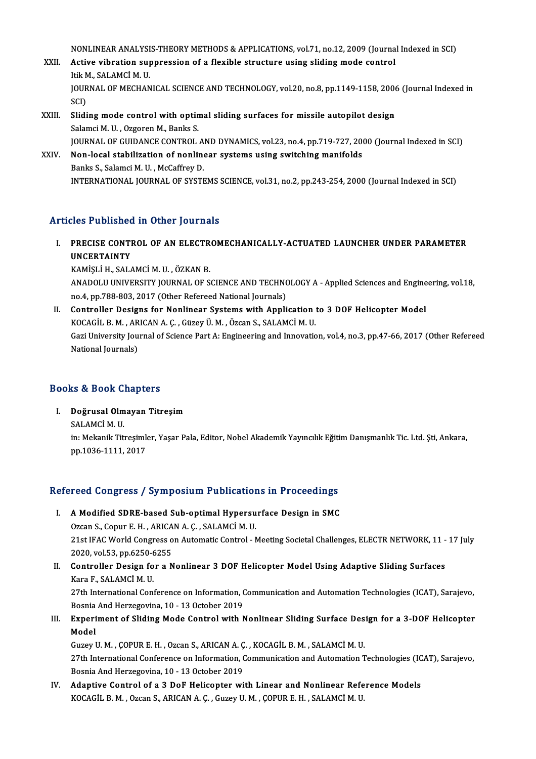NONLINEAR ANALYSIS-THEORY METHODS & APPLICATIONS, vol.71, no.12, 2009 (Journal Indexed in SCI)<br>Active wibration suppression of a flouible structure using aliding mode sentrel

### NONLINEAR ANALYSIS-THEORY METHODS & APPLICATIONS, vol.71, no.12, 2009 (Journa<br>XXII. Active vibration suppression of a flexible structure using sliding mode control NONLINEAR ANALYSI<br>Active vibration sup<br>Itik M., SALAMCİ M. U.<br>IQUPNAL OF MECHAN Active vibration suppression of a flexible structure using sliding mode control<br>Itik M., SALAMCİ M. U.<br>JOURNAL OF MECHANICAL SCIENCE AND TECHNOLOGY, vol.20, no.8, pp.1149-1158, 2006 (Journal Indexed in<br>SCD Itik M<br>JOUR<br>SCI)<br>SHai JOURNAL OF MECHANICAL SCIENCE AND TECHNOLOGY, vol.20, no.8, pp.1149-1158, 2006<br>SCI)<br>XXIII. Sliding mode control with optimal sliding surfaces for missile autopilot design<br>Salamci M. H. Ozgaran M. Banks S.

- SCI)<br>Sliding mode control with optin<br>Salamci M. U. , Ozgoren M., Banks S.<br>JOUPMAL OF CUIDANCE CONTROL Salamci M. U. , Ozgoren M., Banks S.<br>JOURNAL OF GUIDANCE CONTROL AND DYNAMICS, vol.23, no.4, pp.719-727, 2000 (Journal Indexed in SCI) Salamci M. U., Ozgoren M., Banks S.<br>JOURNAL OF GUIDANCE CONTROL AND DYNAMICS, vol.23, no.4, pp.719-727, 20<br>XXIV. Non-local stabilization of nonlinear systems using switching manifolds<br>Panks S. Salamsi M. U. McCoffroy D.
- **JOURNAL OF GUIDANCE CONTROL A<br>Non-local stabilization of nonline<br>Banks S., Salamci M. U. , McCaffrey D.**<br>INTERNATIONAL JOURNAL OF SYSTE Banks S., Salamci M. U. , McCaffrey D.<br>INTERNATIONAL JOURNAL OF SYSTEMS SCIENCE, vol.31, no.2, pp.243-254, 2000 (Journal Indexed in SCI)

### Articles Published in Other Journals

Tticles Published in Other Journals<br>I. PRECISE CONTROL OF AN ELECTROMECHANICALLY-ACTUATED LAUNCHER UNDER PARAMETER<br>UNCERTAINTY THE PRECISE CONTINUES<br>PRECISE CONTINUNCERTAINTY<br>VAMISLI HUSAL PRECISE CONTROL OF AN ELECTR<br>UNCERTAINTY<br>KAMİŞLİ H., SALAMCİ M. U. , ÖZKAN B.<br>ANADOLU UNIVERSITY JOURNAL OF S

UNCERTAINTY<br>KAMİŞLİ H., SALAMCİ M. U. , ÖZKAN B.<br>ANADOLU UNIVERSITY JOURNAL OF SCIENCE AND TECHNOLOGY A - Applied Sciences and Engineering, vol.18,<br>PR.4, PR.788,803, 2017 (Other Refereed National Journals). KAMİŞLİ H., SALAMCİ M. U. , ÖZKAN B.<br>ANADOLU UNIVERSITY JOURNAL OF SCIENCE AND TECHNO<br>no.4, pp.788-803, 2017 (Other Refereed National Journals)<br>Controller Designs for Nonlinear Systems with Annli ANADOLU UNIVERSITY JOURNAL OF SCIENCE AND TECHNOLOGY A - Applied Sciences and Engine<br>no.4, pp.788-803, 2017 (Other Refereed National Journals)<br>II. Controller Designs for Nonlinear Systems with Application to 3 DOF Helicopt

no.4, pp.788-803, 2017 (Other Refereed National Journals)<br>Controller Designs for Nonlinear Systems with Application<br>KOCAGİL B. M. , ARICAN A. Ç. , Güzey Ü. M. , Özcan S., SALAMCİ M. U.<br>Cari University Journal of Science Pa Controller Designs for Nonlinear Systems with Application to 3 DOF Helicopter Model<br>KOCAGİL B. M. , ARICAN A. Ç. , Güzey Ü. M. , Özcan S., SALAMCİ M. U.<br>Gazi University Journal of Science Part A: Engineering and Innovation KOCAGİL B. M. , AR<br>Gazi University Jou<br>National Journals)

# National Journals)<br>Books & Book Chapters

I. Doğrusal Olmayan Titreşim

sə & Bəəsif əl<br>Doğrusal Olm<br>SALAMCİ M. U.<br>in: Məkanik Tit Doğrusal Olmayan Titreşim<br>SALAMCİ M. U.<br>in: Mekanik Titreşimler, Yaşar Pala, Editor, Nobel Akademik Yayıncılık Eğitim Danışmanlık Tic. Ltd. Şti, Ankara,<br>nn 1936-1111-2017 SALAMCİ M. U.<br>in: Mekanik Titreşimle<br>pp.1036-1111, 2017

# pp.1036-1111, 2017<br>Refereed Congress / Symposium Publications in Proceedings

- efereed Congress / Symposium Publications in Proceedings<br>I. A Modified SDRE-based Sub-optimal Hypersurface Design in SMC<br>Organ S. Conur E. H. ABICAN A.C. SALAMCIA H. A Modified SDRE-based Sub-optimal Hypersu<br>Ozcan S., Copur E. H., ARICAN A. Ç., SALAMCİM.U.<br>21st IEAC World Congress on Automatis Control. 1. A Modified SDRE-based Sub-optimal Hypersurface Design in SMC<br>Ozcan S., Copur E. H. , ARICAN A. Ç. , SALAMCİ M. U.<br>21st IFAC World Congress on Automatic Control - Meeting Societal Challenges, ELECTR NETWORK, 11 - 17 July Ozcan S., Copur E. H. , ARICA<br>21st IFAC World Congress o<br>2020, vol.53, pp.6250-6255<br>Controller Design for a N 21st IFAC World Congress on Automatic Control - Meeting Societal Challenges, ELECTR NETWORK, 11 -<br>2020, vol.53, pp.6250-6255<br>II. Controller Design for a Nonlinear 3 DOF Helicopter Model Using Adaptive Sliding Surfaces<br>Kara
- 2020, vol.53, pp.6250-6<br>Controller Design fo<br>Kara F., SALAMCİM. U.<br>27th International Cont Controller Design for a Nonlinear 3 DOF Helicopter Model Using Adaptive Sliding Surfaces<br>Kara F., SALAMCİ M. U.<br>27th International Conference on Information, Communication and Automation Technologies (ICAT), Sarajevo,<br>Besn Kara F., SALAMCİ M. U.<br>27th International Conference on Information, (<br>Bosnia And Herzegovina, 10 - 13 October 2019<br>Eunoniment of Sliding Mode Control with N
- 27th International Conference on Information, Communication and Automation Technologies (ICAT), Sarajevo,<br>Bosnia And Herzegovina, 10 13 October 2019<br>III. Experiment of Sliding Mode Control with Nonlinear Sliding Surface Bosnia<br><mark>Experi</mark><br>Model Experiment of Sliding Mode Control with Nonlinear Sliding Surface Des<br>Model<br>Guzey U.M. , ÇOPUR E.H. , Ozcan S., ARICAN A. Ç. , KOCAGİL B.M. , SALAMCİ M. U.<br>27th International Conference on Information Communication and Aut

27th International Conference on Information, Communication and Automation Technologies (ICAT), Sarajevo,<br>Bosnia And Herzegovina, 10 - 13 October 2019 Guzey U. M. , ÇOPUR E. H. , Ozcan S., ARICAN A. Ç<br>27th International Conference on Information, (<br>Bosnia And Herzegovina, 10 - 13 October 2019<br>Adantive Control of a <sup>3</sup> DeF Helicenter wi

IV. Adaptive Control of a 3 DoF Helicopter with Linear and Nonlinear Reference Models KOCAGİL B. M., Ozcan S., ARICAN A. Ç., Guzey U. M., ÇOPUR E. H., SALAMCİ M. U.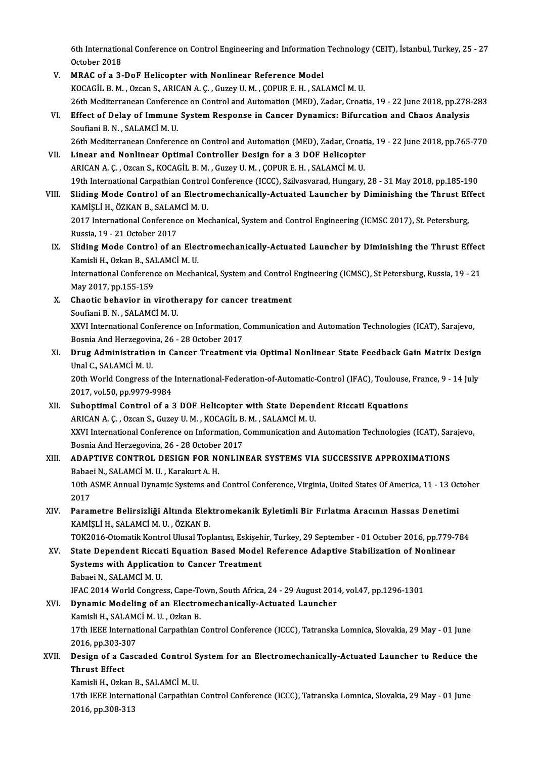6th International Conference on Control Engineering and Information Technology (CEIT), İstanbul, Turkey, 25 - 27<br>Ostaber 2019 6th Internation<br>October 2018<br>MRAC of e <sup>2</sup>

6th International Conference on Control Engineering and Information<br>October 2018<br>V. MRAC of a 3-DoF Helicopter with Nonlinear Reference Model<br>VOCACU P.M. OTGOR S. ARICANA C. GUIGAL M. CORUP E.H. SAL October 2018<br>V. MRAC of a 3-DoF Helicopter with Nonlinear Reference Model<br>KOCAGİL B. M. , Ozcan S., ARICAN A. Ç. , Guzey U. M. , ÇOPUR E. H. , SALAMCİ M. U. MRAC of a 3-DoF Helicopter with Nonlinear Reference Model<br>KOCAGİL B. M. , Ozcan S., ARICAN A. Ç. , Guzey U. M. , ÇOPUR E. H. , SALAMCİ M. U.<br>26th Mediterranean Conference on Control and Automation (MED), Zadar, Croatia, 19 KOCAGİL B. M. , Ozcan S., ARICAN A. Ç. , Guzey U. M. , ÇOPUR E. H. , SALAMCİ M. U.<br>26th Mediterranean Conference on Control and Automation (MED), Zadar, Croatia, 19 - 22 June 2018, pp.278<br>VI. Effect of Delay of Immune Syst 26th Mediterranean Conferen<br>Effect of Delay of Immune<br>Soufiani B.N., SALAMCİM.U.<br>26th Mediterranean Conferen Effect of Delay of Immune System Response in Cancer Dynamics: Bifurcation and Chaos Analysis<br>Soufiani B. N. , SALAMCİ M. U.<br>26th Mediterranean Conference on Control and Automation (MED), Zadar, Croatia, 19 - 22 June 2018, Soufiani B. N., SALAMCI M. U.<br>26th Mediterranean Conference on Control and Automation (MED), Zadar, Croati<br>VII. Linear and Nonlinear Optimal Controller Design for a 3 DOF Helicopter<br>ABICAN A. C. Ozsan S. KOCACU B. M. Gusay 26th Mediterranean Conference on Control and Automation (MED), Zadar, Croat<br>Linear and Nonlinear Optimal Controller Design for a 3 DOF Helicopter<br>ARICAN A. Ç. , Ozcan S., KOCAGİL B. M. , Guzey U. M. , ÇOPUR E. H. , SALAMCİ Linear and Nonlinear Optimal Controller Design for a 3 DOF Helicopter<br>ARICAN A. Ç. , Ozcan S., KOCAGİL B. M. , Guzey U. M. , ÇOPUR E. H. , SALAMCİ M. U.<br>19th International Carpathian Control Conference (ICCC), Szilvasvarad ARICAN A. Ç. , Ozcan S., KOCAGİL B. M. , Guzey U. M. , ÇOPUR E. H. , SALAMCİ M. U.<br>19th International Carpathian Control Conference (ICCC), Szilvasvarad, Hungary, 28 - 31 May 2018, pp.185-190<br>19th VIII. Sliding Mode Contro 19th International Carpathian Control<br>Sliding Mode Control of an Electr<br>KAMİŞLİ H., ÖZKAN B., SALAMCİ M. U.<br>2017 International Conference on Me Sliding Mode Control of an Electromechanically-Actuated Launcher by Diminishing the Thrust Ef<br>KAMİŞLİ H., ÖZKAN B., SALAMCİ M. U.<br>2017 International Conference on Mechanical, System and Control Engineering (ICMSC 2017), St KAMİŞLİ H., ÖZKAN B., SALAM<br>2017 International Conferenc<br>Russia, 19 - 21 October 2017<br>Sliding Mode Control of ar 2017 International Conference on Mechanical, System and Control Engineering (ICMSC 2017), St. Petersburg,<br>Russia, 19 - 21 October 2017<br>IX. Sliding Mode Control of an Electromechanically-Actuated Launcher by Diminishing the Russia, 19 - 21 October 2017<br>Sliding Mode Control of an Elec<br>Kamisli H., Ozkan B., SALAMCİM. U.<br>International Conference en Mecha Sliding Mode Control of an Electromechanically-Actuated Launcher by Diminishing the Thrust Effect<br>Kamisli H., Ozkan B., SALAMCİ M. U.<br>International Conference on Mechanical, System and Control Engineering (ICMSC), St Peter Kamisli H., Ozkan B., SA<br>International Conference<br>May 2017, pp.155-159<br>Chaotia bahayion in I International Conference on Mechanical, System and Control<br>May 2017, pp.155-159<br>X. Chaotic behavior in virotherapy for cancer treatment<br>Soufani B.N., SALAMCLM, H. May 2017, pp.155-159<br>X. Chaotic behavior in virotherapy for cancer treatment<br>Soufiani B.N. , SALAMCİM. U. Chaotic behavior in virotherapy for cancer treatment<br>Soufiani B. N. , SALAMCİ M. U.<br>XXVI International Conference on Information, Communication and Automation Technologies (ICAT), Sarajevo,<br>Posnia And Herregovina. 26 - 29 Soufiani B. N. , SALAMCİ M. U.<br>XXVI International Conference on Information, (<br>Bosnia And Herzegovina, 26 - 28 October 2017<br>Drug Administration in Consor Treatment XXVI International Conference on Information, Communication and Automation Technologies (ICAT), Sarajevo,<br>Bosnia And Herzegovina, 26 - 28 October 2017<br>XI. Drug Administration in Cancer Treatment via Optimal Nonlinear State Bosnia And Herzegovin<br>Drug Administration<br>Unal C., SALAMCİM. U.<br>20th World Congress e Drug Administration in Cancer Treatment via Optimal Nonlinear State Feedback Gain Matrix Design<br>Unal C., SALAMCİ M. U.<br>20th World Congress of the International-Federation-of-Automatic-Control (IFAC), Toulouse, France, 9 - Unal C., SALAMCİ M. U.<br>20th World Congress of the International-Federation-of-Automatic-Control (IFAC), Toulouse, France, 9 - 14 July<br>2017, vol.50, pp.9979-9984

- XII. Suboptimal Control of a 3 DOF Helicopter with State Dependent Riccati Equations 2017, vol.50, pp.9979-9984<br>Suboptimal Control of a 3 DOF Helicopter with State Depen<br>ARICAN A. Ç. , Ozcan S., Guzey U. M. , KOCAGİL B. M. , SALAMCİM. U.<br>XXII International Conference en Information Communication and XXVI International Conference on Information, Communication and Automation Technologies (ICAT), Sarajevo,<br>Bosnia And Herzegovina, 26 - 28 October 2017 ARICAN A. Ç. , Ozcan S., Guzey U. M. , KOCAGİL B.<br>XXVI International Conference on Information, (<br>Bosnia And Herzegovina, 26 - 28 October 2017<br>ADARTIVE CONTROL DESICN EOR NONLIN XXVI International Conference on Information, Communication and Automation Technologies (ICAT), Sar<br>Bosnia And Herzegovina, 26 - 28 October 2017<br>XIII. ADAPTIVE CONTROL DESIGN FOR NONLINEAR SYSTEMS VIA SUCCESSIVE APPROXIMAT
- Bosnia And Herzegovina, 26 28 October<br>ADAPTIVE CONTROL DESIGN FOR NO<br>Babaei N., SALAMCİ M. U. , Karakurt A. H.<br>10th ASME Annual Dimamia Systems and 10th ASME Annual Dynamic Systems and Control Conference, Virginia, United States Of America, 11 - 13 October 2017 Babaei N., SALAMCİ M. U., Karakurt A. H. 10th ASME Annual Dynamic Systems and Control Conference, Virginia, United States Of America, 11 - 13 Oc<br>2017<br>XIV. Parametre Belirsizliği Altında Elektromekanik Eyletimli Bir Fırlatma Aracının Hassas Denetimi<br>XAMELLU SALAMC
- 2017<br>Parametre Belirsizliği Altında Elek<br>KAMİŞLİ H., SALAMCİ M. U. , ÖZKAN B.<br>TOK2016 Otomatik Kontrol Ulusal Ten Parametre Belirsizliği Altında Elektromekanik Eyletimli Bir Fırlatma Aracının Hassas Denetimi<br>KAMİŞLİ H., SALAMCİ M. U. , ÖZKAN B.<br>TOK2016-Otomatik Kontrol Ulusal Toplantısı, Eskişehir, Turkey, 29 September - 01 October 20

KAMİŞLİ H., SALAMCİ M. U. , ÖZKAN B.<br>TOK2016-Otomatik Kontrol Ulusal Toplantısı, Eskişehir, Turkey, 29 September - 01 October 2016, pp.779-7<br>XV. State Dependent Riccati Equation Based Model Reference Adaptive Stabiliza TOK2016-Otomatik Kontrol Ulusal Toplantısı, Eskişeh<br>State Dependent Riccati Equation Based Model<br>Systems with Application to Cancer Treatment<br>Pebeci N. SALAMCİM U XV. State Dependent Riccati Equation Based Model Reference Adaptive Stabilization of Nonlinear<br>Systems with Application to Cancer Treatment<br>Babaei N., SALAMCİM. U. IFAC2014WorldCongress,Cape-Town,SouthAfrica,24 -29August2014,vol.47,pp.1296-1301

### Babaei N., SALAMCİ M. U.<br>IFAC 2014 World Congress, Cape-Town, South Africa, 24 - 29 August 201<br>XVI. Dynamic Modeling of an Electromechanically-Actuated Launcher<br>Kamieli H. SALAMCİ M. U. Orkan B IFAC 2014 World Congress, Cape-To<br>Dynamic Modeling of an Electro<br>Kamisli H., SALAMCİM. U. , Ozkan B.<br>17th IEEE International Carnathian 17th IEEE International Carpathian Control Conference (ICCC), Tatranska Lomnica, Slovakia, 29 May - 01 June Kamisli H., SALAMCİ M. U., Ozkan B. 17th IEEE International Carpathian Control Conference (ICCC), Tatranska Lomnica, Slovakia, 29 May - 01 June<br>2016, pp.303-307<br>XVII. Design of a Cascaded Control System for an Electromechanically-Actuated Launcher to Reduce

2016, pp.303-307<br>Design of a Cascaded Control S:<br>Thrust Effect<br>Kamisli H., Ozkan B., SALAMCİ M. U. Design of a Cascaded Control S<br>Thrust Effect<br>Kamisli H., Ozkan B., SALAMCİ M. U.<br>17th IEEE International Carnethian

Thrust Effect<br>Kamisli H., Ozkan B., SALAMCİ M. U.<br>17th IEEE International Carpathian Control Conference (ICCC), Tatranska Lomnica, Slovakia, 29 May - 01 June<br>2016. pp.208.212 Kamisli H., Ozkan<br>17th IEEE Interna<br>2016, pp.308-313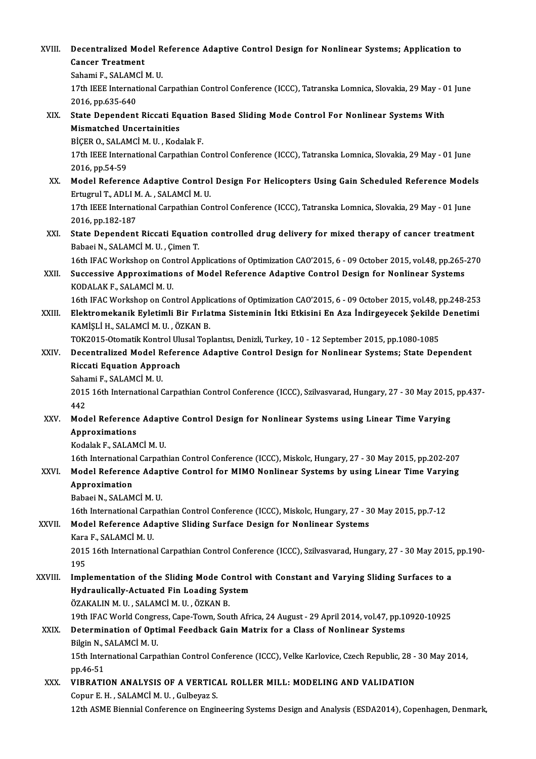| XVIII.  | Decentralized Model Reference Adaptive Control Design for Nonlinear Systems; Application to<br><b>Cancer Treatment</b>                                                        |
|---------|-------------------------------------------------------------------------------------------------------------------------------------------------------------------------------|
|         | Sahami F., SALAMCİ M. U.                                                                                                                                                      |
|         | 17th IEEE International Carpathian Control Conference (ICCC), Tatranska Lomnica, Slovakia, 29 May - 01 June                                                                   |
|         | 2016, pp.635-640                                                                                                                                                              |
| XIX.    | State Dependent Riccati Equation Based Sliding Mode Control For Nonlinear Systems With                                                                                        |
|         | <b>Mismatched Uncertainities</b>                                                                                                                                              |
|         | BİÇER O., SALAMCİ M. U., Kodalak F.                                                                                                                                           |
|         | 17th IEEE International Carpathian Control Conference (ICCC), Tatranska Lomnica, Slovakia, 29 May - 01 June                                                                   |
|         | 2016, pp 54-59                                                                                                                                                                |
| XX.     | Model Reference Adaptive Control Design For Helicopters Using Gain Scheduled Reference Models                                                                                 |
|         | Ertugrul T., ADLI M. A., SALAMCİ M. U.                                                                                                                                        |
|         | 17th IEEE International Carpathian Control Conference (ICCC), Tatranska Lomnica, Slovakia, 29 May - 01 June                                                                   |
|         | 2016, pp 182-187                                                                                                                                                              |
| XXI.    | State Dependent Riccati Equation controlled drug delivery for mixed therapy of cancer treatment                                                                               |
|         | Babaei N., SALAMCİ M. U., Çimen T.                                                                                                                                            |
|         | 16th IFAC Workshop on Control Applications of Optimization CAO'2015, 6 - 09 October 2015, vol.48, pp.265-270                                                                  |
| XXII.   | Successive Approximations of Model Reference Adaptive Control Design for Nonlinear Systems                                                                                    |
|         | KODALAK F., SALAMCİ M. U.                                                                                                                                                     |
| XXIII.  | 16th IFAC Workshop on Control Applications of Optimization CAO'2015, 6 - 09 October 2015, vol.48, pp.248-253                                                                  |
|         | Elektromekanik Eyletimli Bir Fırlatma Sisteminin İtki Etkisini En Aza İndirgeyecek Şekilde Denetimi<br>KAMİŞLİ H., SALAMCİ M. U., ÖZKAN B.                                    |
|         | TOK2015-Otomatik Kontrol Ulusal Toplantisi, Denizli, Turkey, 10 - 12 September 2015, pp.1080-1085                                                                             |
| XXIV.   | Decentralized Model Reference Adaptive Control Design for Nonlinear Systems; State Dependent                                                                                  |
|         | Riccati Equation Approach                                                                                                                                                     |
|         | Sahami F., SALAMCİ M. U.                                                                                                                                                      |
|         | 2015 16th International Carpathian Control Conference (ICCC), Szilvasvarad, Hungary, 27 - 30 May 2015, pp.437-                                                                |
|         | 442                                                                                                                                                                           |
| XXV.    | Model Reference Adaptive Control Design for Nonlinear Systems using Linear Time Varying                                                                                       |
|         | Approximations                                                                                                                                                                |
|         | Kodalak F., SALAMCİ M. U.                                                                                                                                                     |
|         | 16th International Carpathian Control Conference (ICCC), Miskolc, Hungary, 27 - 30 May 2015, pp.202-207                                                                       |
| XXVI.   | Model Reference Adaptive Control for MIMO Nonlinear Systems by using Linear Time Varying                                                                                      |
|         | Approximation                                                                                                                                                                 |
|         | Babaei N., SALAMCİ M. U.                                                                                                                                                      |
| XXVII.  | 16th International Carpathian Control Conference (ICCC), Miskolc, Hungary, 27 - 30 May 2015, pp.7-12<br>Model Reference Adaptive Sliding Surface Design for Nonlinear Systems |
|         | Kara F., SALAMCİ M. U.                                                                                                                                                        |
|         | 2015 16th International Carpathian Control Conference (ICCC), Szilvasvarad, Hungary, 27 - 30 May 2015, pp.190-                                                                |
|         | 195                                                                                                                                                                           |
| XXVIII. | Implementation of the Sliding Mode Control with Constant and Varying Sliding Surfaces to a                                                                                    |
|         | Hydraulically-Actuated Fin Loading System                                                                                                                                     |
|         | ÖZAKALIN M. U., SALAMCİ M. U., ÖZKAN B.                                                                                                                                       |
|         | 19th IFAC World Congress, Cape-Town, South Africa, 24 August - 29 April 2014, vol.47, pp.10920-10925                                                                          |
| XXIX.   | Determination of Optimal Feedback Gain Matrix for a Class of Nonlinear Systems                                                                                                |
|         | Bilgin N, SALAMCİ M U                                                                                                                                                         |
|         | 15th International Carpathian Control Conference (ICCC), Velke Karlovice, Czech Republic, 28 - 30 May 2014,                                                                   |
|         | pp 46-51                                                                                                                                                                      |
| XXX.    | VIBRATION ANALYSIS OF A VERTICAL ROLLER MILL: MODELING AND VALIDATION                                                                                                         |
|         | Copur E. H., SALAMCİ M. U., Gulbeyaz S.                                                                                                                                       |
|         | 12th ASME Biennial Conference on Engineering Systems Design and Analysis (ESDA2014), Copenhagen, Denmark,                                                                     |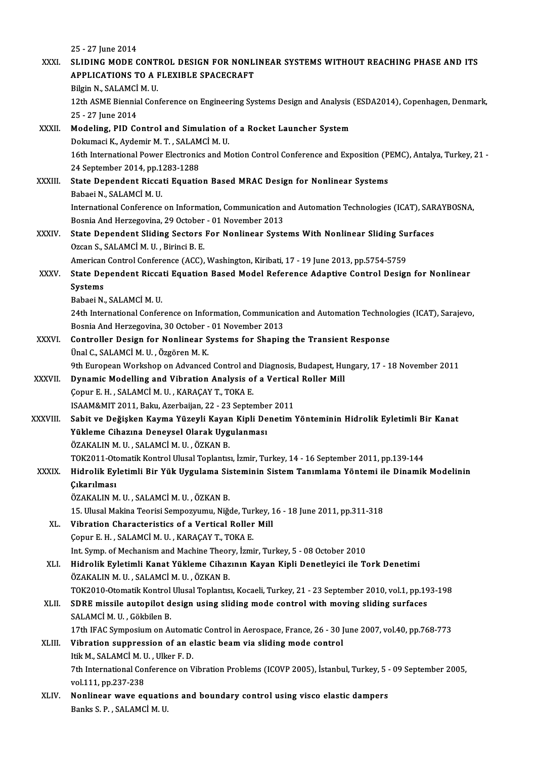|              | 25 - 27 June 2014                                                                                                                           |
|--------------|---------------------------------------------------------------------------------------------------------------------------------------------|
| XXXI.        | SLIDING MODE CONTROL DESIGN FOR NONLINEAR SYSTEMS WITHOUT REACHING PHASE AND ITS                                                            |
|              | APPLICATIONS TO A FLEXIBLE SPACECRAFT                                                                                                       |
|              | Bilgin N., SALAMCİ M. U.                                                                                                                    |
|              | 12th ASME Biennial Conference on Engineering Systems Design and Analysis (ESDA2014), Copenhagen, Denmark,                                   |
|              | 25 - 27 June 2014                                                                                                                           |
| XXXII.       | Modeling, PID Control and Simulation of a Rocket Launcher System                                                                            |
|              | Dokumaci K., Aydemir M. T., SALAMCİ M. U.                                                                                                   |
|              | 16th International Power Electronics and Motion Control Conference and Exposition (PEMC), Antalya, Turkey, 21-                              |
|              | 24 September 2014, pp 1283-1288                                                                                                             |
| XXXIII.      | State Dependent Riccati Equation Based MRAC Design for Nonlinear Systems                                                                    |
|              | Babaei N., SALAMCİ M. U.                                                                                                                    |
|              | International Conference on Information, Communication and Automation Technologies (ICAT), SARAYBOSNA,                                      |
|              | Bosnia And Herzegovina, 29 October - 01 November 2013                                                                                       |
| <b>XXXIV</b> | State Dependent Sliding Sectors For Nonlinear Systems With Nonlinear Sliding Surfaces                                                       |
|              | Ozcan S., SALAMCİM. U., Birinci B. E.                                                                                                       |
|              | American Control Conference (ACC), Washington, Kiribati, 17 - 19 June 2013, pp.5754-5759                                                    |
| XXXV.        | State Dependent Riccati Equation Based Model Reference Adaptive Control Design for Nonlinear                                                |
|              | Systems                                                                                                                                     |
|              | Babaei N., SALAMCİ M. U.                                                                                                                    |
|              | 24th International Conference on Information, Communication and Automation Technologies (ICAT), Sarajevo,                                   |
|              | Bosnia And Herzegovina, 30 October - 01 November 2013                                                                                       |
| XXXVI.       | Controller Design for Nonlinear Systems for Shaping the Transient Response                                                                  |
|              | Ünal C., SALAMCİ M. U., Özgören M. K.                                                                                                       |
|              | 9th European Workshop on Advanced Control and Diagnosis, Budapest, Hungary, 17 - 18 November 2011                                           |
| XXXVII.      | Dynamic Modelling and Vibration Analysis of a Vertical Roller Mill                                                                          |
|              | Çopur E.H., SALAMCİM. U., KARAÇAY T., TOKA E.                                                                                               |
| XXXVIII.     | ISAAM&MIT 2011, Baku, Azerbaijan, 22 - 23 September 2011                                                                                    |
|              | Sabit ve Değişken Kayma Yüzeyli Kayan Kipli Denetim Yönteminin Hidrolik Eyletimli Bir Kanat<br>Yükleme Cihazına Deneysel Olarak Uygulanması |
|              | ÖZAKALIN M. U., SALAMCİ M. U., ÖZKAN B.                                                                                                     |
|              | TOK2011-Otomatik Kontrol Ulusal Toplantısı, İzmir, Turkey, 14 - 16 September 2011, pp.139-144                                               |
| <b>XXXIX</b> | Hidrolik Eyletimli Bir Yük Uygulama Sisteminin Sistem Tanımlama Yöntemi ile Dinamik Modelinin                                               |
|              | <b>Cikarilmasi</b>                                                                                                                          |
|              | ÖZAKALIN M. U., SALAMCİ M. U., ÖZKAN B.                                                                                                     |
|              | 15. Ulusal Makina Teorisi Sempozyumu, Niğde, Turkey, 16 - 18 June 2011, pp.311-318                                                          |
| XL.          | Vibration Characteristics of a Vertical Roller Mill                                                                                         |
|              | Copur E. H., SALAMCİM. U., KARAÇAY T., TOKA E.                                                                                              |
|              | Int. Symp. of Mechanism and Machine Theory, İzmir, Turkey, 5 - 08 October 2010                                                              |
| XLI.         | Hidrolik Eyletimli Kanat Yükleme Cihazının Kayan Kipli Denetleyici ile Tork Denetimi                                                        |
|              | ÖZAKALIN M. U., SALAMCİ M. U., ÖZKAN B.                                                                                                     |
|              | TOK2010-Otomatik Kontrol Ulusal Toplantisi, Kocaeli, Turkey, 21 - 23 September 2010, vol.1, pp.193-198                                      |
| XLII.        | SDRE missile autopilot design using sliding mode control with moving sliding surfaces                                                       |
|              | SALAMCİM U., Gökbilen B.                                                                                                                    |
|              | 17th IFAC Symposium on Automatic Control in Aerospace, France, 26 - 30 June 2007, vol.40, pp.768-773                                        |
| XLIII.       | Vibration suppression of an elastic beam via sliding mode control                                                                           |
|              | Itik M., SALAMCİ M. U., Ulker F. D.                                                                                                         |
|              | 7th International Conference on Vibration Problems (ICOVP 2005), İstanbul, Turkey, 5 - 09 September 2005,                                   |
|              | vol 111, pp 237-238                                                                                                                         |
| XLIV.        | Nonlinear wave equations and boundary control using visco elastic dampers                                                                   |
|              | Banks S. P., SALAMCI M. U.                                                                                                                  |
|              |                                                                                                                                             |